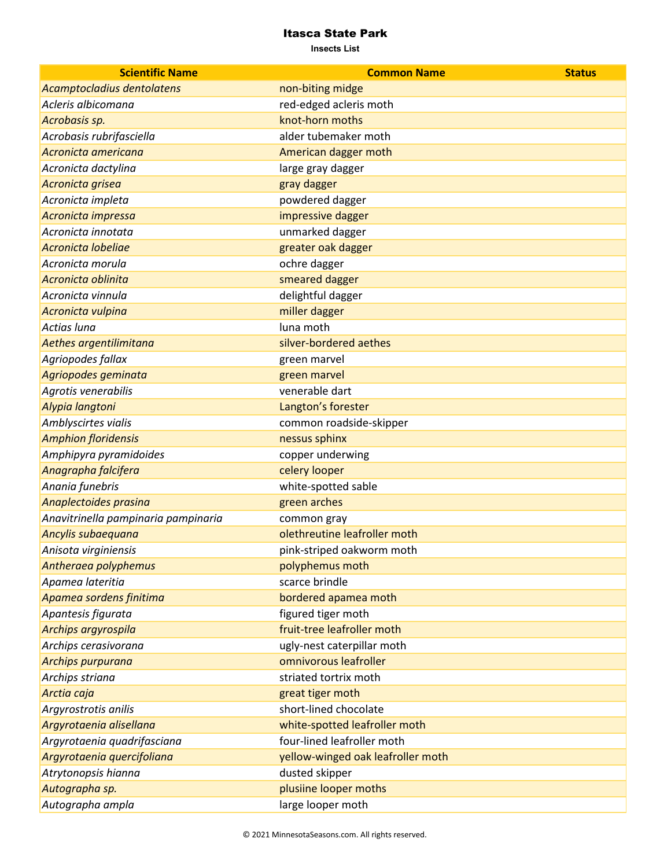| <b>Scientific Name</b>              | <b>Common Name</b>                | <b>Status</b> |
|-------------------------------------|-----------------------------------|---------------|
| Acamptocladius dentolatens          | non-biting midge                  |               |
| Acleris albicomana                  | red-edged acleris moth            |               |
| Acrobasis sp.                       | knot-horn moths                   |               |
| Acrobasis rubrifasciella            | alder tubemaker moth              |               |
| Acronicta americana                 | American dagger moth              |               |
| Acronicta dactylina                 | large gray dagger                 |               |
| Acronicta grisea                    | gray dagger                       |               |
| Acronicta impleta                   | powdered dagger                   |               |
| Acronicta impressa                  | impressive dagger                 |               |
| Acronicta innotata                  | unmarked dagger                   |               |
| Acronicta lobeliae                  | greater oak dagger                |               |
| Acronicta morula                    | ochre dagger                      |               |
| Acronicta oblinita                  | smeared dagger                    |               |
| Acronicta vinnula                   | delightful dagger                 |               |
| Acronicta vulpina                   | miller dagger                     |               |
| <b>Actias luna</b>                  | luna moth                         |               |
| Aethes argentilimitana              | silver-bordered aethes            |               |
| Agriopodes fallax                   | green marvel                      |               |
| Agriopodes geminata                 | green marvel                      |               |
| Agrotis venerabilis                 | venerable dart                    |               |
| Alypia langtoni                     | Langton's forester                |               |
| Amblyscirtes vialis                 | common roadside-skipper           |               |
| <b>Amphion floridensis</b>          | nessus sphinx                     |               |
| Amphipyra pyramidoides              | copper underwing                  |               |
| Anagrapha falcifera                 | celery looper                     |               |
| Anania funebris                     | white-spotted sable               |               |
| Anaplectoides prasina               | green arches                      |               |
| Anavitrinella pampinaria pampinaria | common gray                       |               |
| Ancylis subaequana                  | olethreutine leafroller moth      |               |
| Anisota virginiensis                | pink-striped oakworm moth         |               |
| Antheraea polyphemus                | polyphemus moth                   |               |
| Apamea lateritia                    | scarce brindle                    |               |
| Apamea sordens finitima             | bordered apamea moth              |               |
| Apantesis figurata                  | figured tiger moth                |               |
| Archips argyrospila                 | fruit-tree leafroller moth        |               |
| Archips cerasivorana                | ugly-nest caterpillar moth        |               |
| Archips purpurana                   | omnivorous leafroller             |               |
| Archips striana                     | striated tortrix moth             |               |
| Arctia caja                         | great tiger moth                  |               |
| Argyrostrotis anilis                | short-lined chocolate             |               |
| Argyrotaenia alisellana             | white-spotted leafroller moth     |               |
| Argyrotaenia quadrifasciana         | four-lined leafroller moth        |               |
| Argyrotaenia quercifoliana          | yellow-winged oak leafroller moth |               |
| Atrytonopsis hianna                 | dusted skipper                    |               |
| Autographa sp.                      | plusiine looper moths             |               |
| Autographa ampla                    | large looper moth                 |               |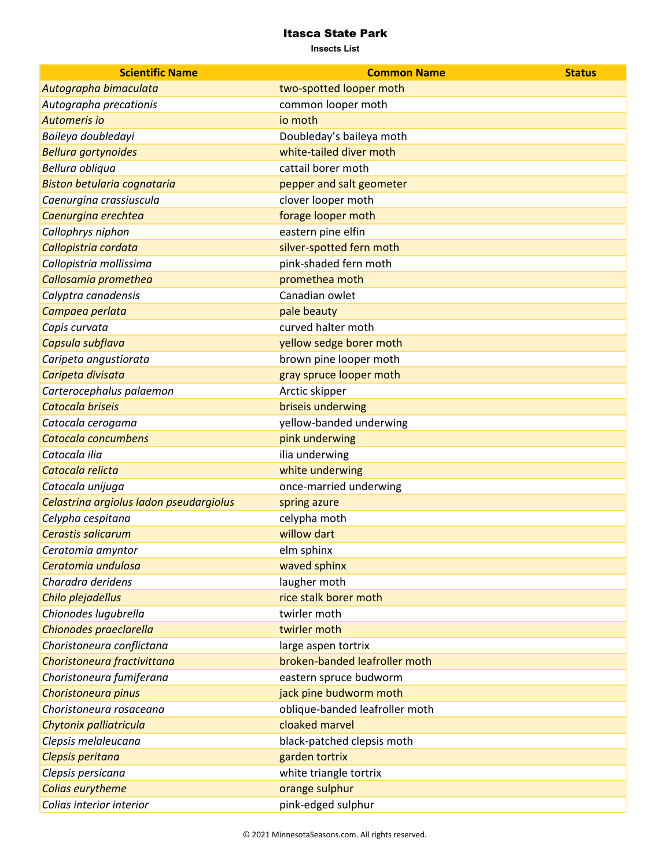| <b>Scientific Name</b>                  | <b>Common Name</b>             | <b>Status</b> |
|-----------------------------------------|--------------------------------|---------------|
| Autographa bimaculata                   | two-spotted looper moth        |               |
| Autographa precationis                  | common looper moth             |               |
| Automeris io                            | io moth                        |               |
| Baileya doubledayi                      | Doubleday's baileya moth       |               |
| <b>Bellura gortynoides</b>              | white-tailed diver moth        |               |
| Bellura obliqua                         | cattail borer moth             |               |
| Biston betularia cognataria             | pepper and salt geometer       |               |
| Caenurgina crassiuscula                 | clover looper moth             |               |
| Caenurgina erechtea                     | forage looper moth             |               |
| Callophrys niphon                       | eastern pine elfin             |               |
| Callopistria cordata                    | silver-spotted fern moth       |               |
| Callopistria mollissima                 | pink-shaded fern moth          |               |
| Callosamia promethea                    | promethea moth                 |               |
| Calyptra canadensis                     | Canadian owlet                 |               |
| Campaea perlata                         | pale beauty                    |               |
| Capis curvata                           | curved halter moth             |               |
| Capsula subflava                        | yellow sedge borer moth        |               |
| Caripeta angustiorata                   | brown pine looper moth         |               |
| Caripeta divisata                       | gray spruce looper moth        |               |
| Carterocephalus palaemon                | Arctic skipper                 |               |
| Catocala briseis                        | briseis underwing              |               |
| Catocala cerogama                       | yellow-banded underwing        |               |
| Catocala concumbens                     | pink underwing                 |               |
| Catocala ilia                           | ilia underwing                 |               |
| Catocala relicta                        | white underwing                |               |
| Catocala unijuga                        | once-married underwing         |               |
| Celastrina argiolus ladon pseudargiolus | spring azure                   |               |
| Celypha cespitana                       | celypha moth                   |               |
| Cerastis salicarum                      | willow dart                    |               |
| Ceratomia amyntor                       | elm sphinx                     |               |
| Ceratomia undulosa                      | waved sphinx                   |               |
| Charadra deridens                       | laugher moth                   |               |
| Chilo plejadellus                       | rice stalk borer moth          |               |
| Chionodes lugubrella                    | twirler moth                   |               |
| Chionodes praeclarella                  | twirler moth                   |               |
| Choristoneura conflictana               | large aspen tortrix            |               |
| Choristoneura fractivittana             | broken-banded leafroller moth  |               |
| Choristoneura fumiferana                | eastern spruce budworm         |               |
| Choristoneura pinus                     | jack pine budworm moth         |               |
| Choristoneura rosaceana                 | oblique-banded leafroller moth |               |
| Chytonix palliatricula                  | cloaked marvel                 |               |
| Clepsis melaleucana                     | black-patched clepsis moth     |               |
| Clepsis peritana                        | garden tortrix                 |               |
| Clepsis persicana                       | white triangle tortrix         |               |
| Colias eurytheme                        | orange sulphur                 |               |
| Colias interior interior                | pink-edged sulphur             |               |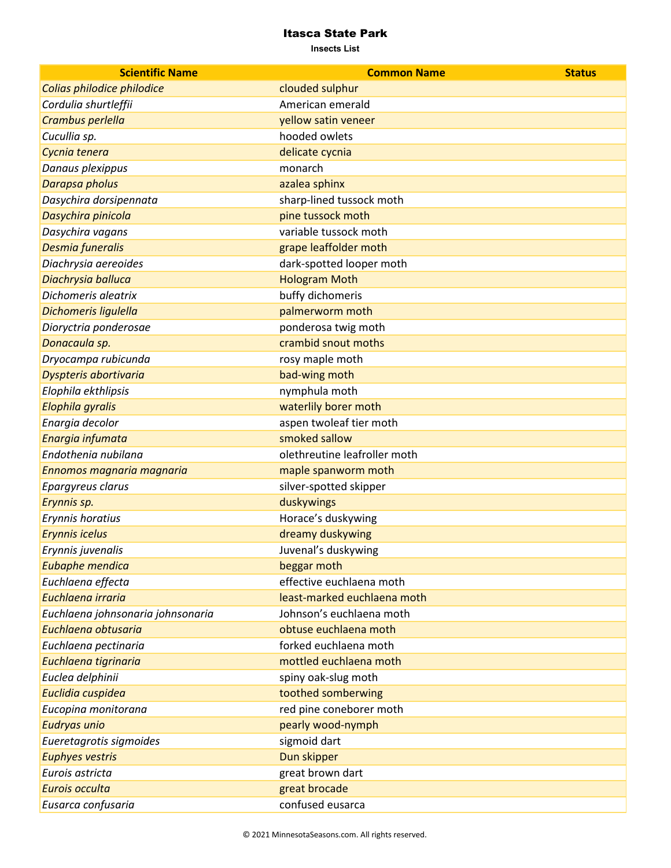| <b>Scientific Name</b>            | <b>Common Name</b>           | <b>Status</b> |
|-----------------------------------|------------------------------|---------------|
| Colias philodice philodice        | clouded sulphur              |               |
| Cordulia shurtleffii              | American emerald             |               |
| Crambus perlella                  | yellow satin veneer          |               |
| Cucullia sp.                      | hooded owlets                |               |
| Cycnia tenera                     | delicate cycnia              |               |
| Danaus plexippus                  | monarch                      |               |
| Darapsa pholus                    | azalea sphinx                |               |
| Dasychira dorsipennata            | sharp-lined tussock moth     |               |
| Dasychira pinicola                | pine tussock moth            |               |
| Dasychira vagans                  | variable tussock moth        |               |
| Desmia funeralis                  | grape leaffolder moth        |               |
| Diachrysia aereoides              | dark-spotted looper moth     |               |
| Diachrysia balluca                | <b>Hologram Moth</b>         |               |
| Dichomeris aleatrix               | buffy dichomeris             |               |
| Dichomeris ligulella              | palmerworm moth              |               |
| Dioryctria ponderosae             | ponderosa twig moth          |               |
| Donacaula sp.                     | crambid snout moths          |               |
| Dryocampa rubicunda               | rosy maple moth              |               |
| Dyspteris abortivaria             | bad-wing moth                |               |
| Elophila ekthlipsis               | nymphula moth                |               |
| Elophila gyralis                  | waterlily borer moth         |               |
| Enargia decolor                   | aspen twoleaf tier moth      |               |
| Enargia infumata                  | smoked sallow                |               |
| Endothenia nubilana               | olethreutine leafroller moth |               |
| Ennomos magnaria magnaria         | maple spanworm moth          |               |
| Epargyreus clarus                 | silver-spotted skipper       |               |
| Erynnis sp.                       | duskywings                   |               |
| Erynnis horatius                  | Horace's duskywing           |               |
| Erynnis icelus                    | dreamy duskywing             |               |
| Erynnis juvenalis                 | Juvenal's duskywing          |               |
| Eubaphe mendica                   | beggar moth                  |               |
| Euchlaena effecta                 | effective euchlaena moth     |               |
| Euchlaena irraria                 | least-marked euchlaena moth  |               |
| Euchlaena johnsonaria johnsonaria | Johnson's euchlaena moth     |               |
| Euchlaena obtusaria               | obtuse euchlaena moth        |               |
| Euchlaena pectinaria              | forked euchlaena moth        |               |
| Euchlaena tigrinaria              | mottled euchlaena moth       |               |
| Euclea delphinii                  | spiny oak-slug moth          |               |
| Euclidia cuspidea                 | toothed somberwing           |               |
| Eucopina monitorana               | red pine coneborer moth      |               |
| Eudryas unio                      | pearly wood-nymph            |               |
| Eueretagrotis sigmoides           | sigmoid dart                 |               |
| <b>Euphyes vestris</b>            | Dun skipper                  |               |
| Eurois astricta                   | great brown dart             |               |
| Eurois occulta                    | great brocade                |               |
| Eusarca confusaria                | confused eusarca             |               |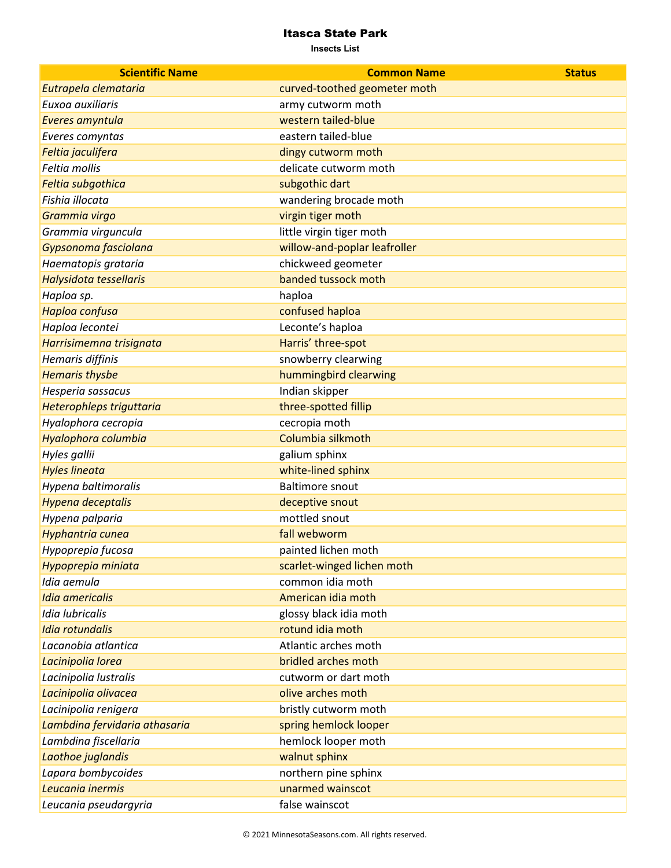| <b>Scientific Name</b>        | <b>Common Name</b>           | <b>Status</b> |
|-------------------------------|------------------------------|---------------|
| Eutrapela clemataria          | curved-toothed geometer moth |               |
| Euxoa auxiliaris              | army cutworm moth            |               |
| Everes amyntula               | western tailed-blue          |               |
| Everes comyntas               | eastern tailed-blue          |               |
| Feltia jaculifera             | dingy cutworm moth           |               |
| Feltia mollis                 | delicate cutworm moth        |               |
| Feltia subgothica             | subgothic dart               |               |
| Fishia illocata               | wandering brocade moth       |               |
| Grammia virgo                 | virgin tiger moth            |               |
| Grammia virguncula            | little virgin tiger moth     |               |
| Gypsonoma fasciolana          | willow-and-poplar leafroller |               |
| Haematopis grataria           | chickweed geometer           |               |
| Halysidota tessellaris        | banded tussock moth          |               |
| Haploa sp.                    | haploa                       |               |
| Haploa confusa                | confused haploa              |               |
| Haploa lecontei               | Leconte's haploa             |               |
| Harrisimemna trisignata       | Harris' three-spot           |               |
| Hemaris diffinis              | snowberry clearwing          |               |
| <b>Hemaris thysbe</b>         | hummingbird clearwing        |               |
| Hesperia sassacus             | Indian skipper               |               |
| Heterophleps triguttaria      | three-spotted fillip         |               |
| Hyalophora cecropia           | cecropia moth                |               |
| Hyalophora columbia           | Columbia silkmoth            |               |
| Hyles gallii                  | galium sphinx                |               |
| <b>Hyles lineata</b>          | white-lined sphinx           |               |
| Hypena baltimoralis           | <b>Baltimore snout</b>       |               |
| Hypena deceptalis             | deceptive snout              |               |
| Hypena palparia               | mottled snout                |               |
| Hyphantria cunea              | fall webworm                 |               |
| Hypoprepia fucosa             | painted lichen moth          |               |
| Hypoprepia miniata            | scarlet-winged lichen moth   |               |
| Idia aemula                   | common idia moth             |               |
| <b>Idia americalis</b>        | American idia moth           |               |
| Idia lubricalis               | glossy black idia moth       |               |
| <b>Idia rotundalis</b>        | rotund idia moth             |               |
| Lacanobia atlantica           | Atlantic arches moth         |               |
| Lacinipolia lorea             | bridled arches moth          |               |
| Lacinipolia lustralis         | cutworm or dart moth         |               |
| Lacinipolia olivacea          | olive arches moth            |               |
| Lacinipolia renigera          | bristly cutworm moth         |               |
| Lambdina fervidaria athasaria | spring hemlock looper        |               |
| Lambdina fiscellaria          | hemlock looper moth          |               |
| Laothoe juglandis             | walnut sphinx                |               |
| Lapara bombycoides            | northern pine sphinx         |               |
| Leucania inermis              | unarmed wainscot             |               |
| Leucania pseudargyria         | false wainscot               |               |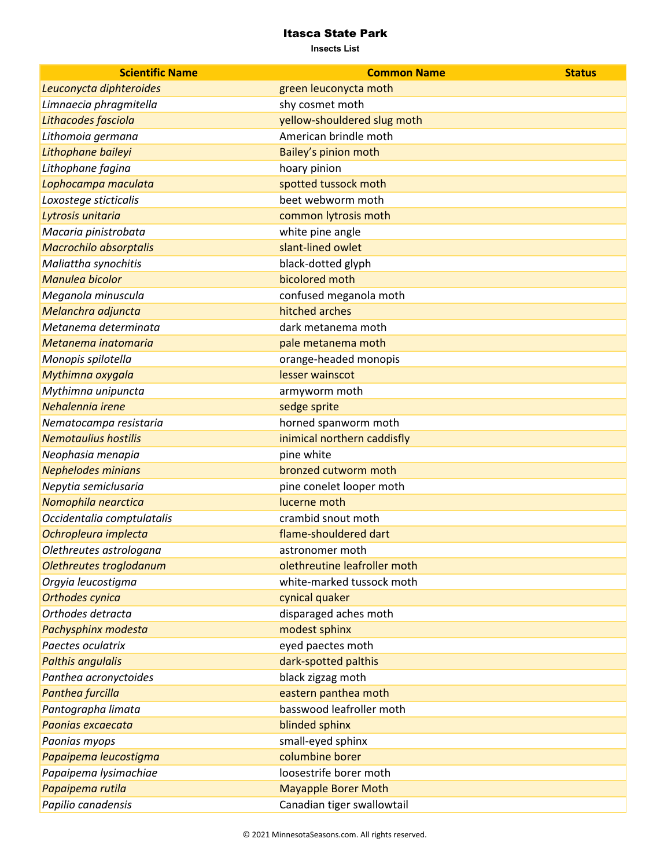| <b>Scientific Name</b>        | <b>Common Name</b>           | <b>Status</b> |
|-------------------------------|------------------------------|---------------|
| Leuconycta diphteroides       | green leuconycta moth        |               |
| Limnaecia phragmitella        | shy cosmet moth              |               |
| Lithacodes fasciola           | yellow-shouldered slug moth  |               |
| Lithomoia germana             | American brindle moth        |               |
| Lithophane baileyi            | Bailey's pinion moth         |               |
| Lithophane fagina             | hoary pinion                 |               |
| Lophocampa maculata           | spotted tussock moth         |               |
| Loxostege sticticalis         | beet webworm moth            |               |
| Lytrosis unitaria             | common lytrosis moth         |               |
| Macaria pinistrobata          | white pine angle             |               |
| <b>Macrochilo absorptalis</b> | slant-lined owlet            |               |
| Maliattha synochitis          | black-dotted glyph           |               |
| Manulea bicolor               | bicolored moth               |               |
| Meganola minuscula            | confused meganola moth       |               |
| Melanchra adjuncta            | hitched arches               |               |
| Metanema determinata          | dark metanema moth           |               |
| Metanema inatomaria           | pale metanema moth           |               |
| Monopis spilotella            | orange-headed monopis        |               |
| Mythimna oxygala              | lesser wainscot              |               |
| Mythimna unipuncta            | armyworm moth                |               |
| Nehalennia irene              | sedge sprite                 |               |
| Nematocampa resistaria        | horned spanworm moth         |               |
| <b>Nemotaulius hostilis</b>   | inimical northern caddisfly  |               |
| Neophasia menapia             | pine white                   |               |
| <b>Nephelodes minians</b>     | bronzed cutworm moth         |               |
| Nepytia semiclusaria          | pine conelet looper moth     |               |
| Nomophila nearctica           | lucerne moth                 |               |
| Occidentalia comptulatalis    | crambid snout moth           |               |
| Ochropleura implecta          | flame-shouldered dart        |               |
| Olethreutes astrologana       | astronomer moth              |               |
| Olethreutes troglodanum       | olethreutine leafroller moth |               |
| Orgyia leucostigma            | white-marked tussock moth    |               |
| <b>Orthodes cynica</b>        | cynical quaker               |               |
| Orthodes detracta             | disparaged aches moth        |               |
| Pachysphinx modesta           | modest sphinx                |               |
| Paectes oculatrix             | eyed paectes moth            |               |
| <b>Palthis angulalis</b>      | dark-spotted palthis         |               |
| Panthea acronyctoides         | black zigzag moth            |               |
| Panthea furcilla              | eastern panthea moth         |               |
| Pantographa limata            | basswood leafroller moth     |               |
| Paonias excaecata             | blinded sphinx               |               |
| Paonias myops                 | small-eyed sphinx            |               |
| Papaipema leucostigma         | columbine borer              |               |
| Papaipema lysimachiae         | loosestrife borer moth       |               |
| Papaipema rutila              | <b>Mayapple Borer Moth</b>   |               |
| Papilio canadensis            | Canadian tiger swallowtail   |               |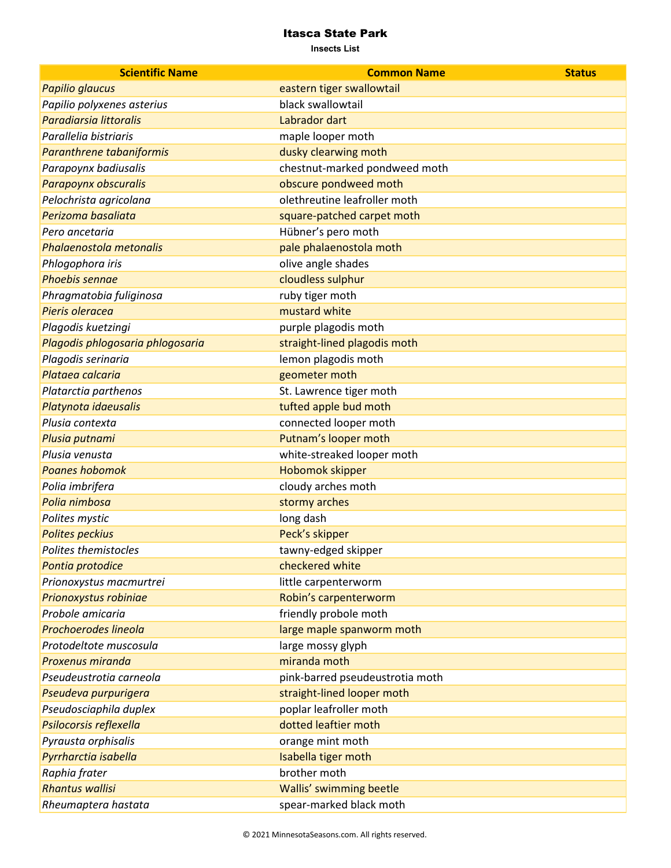| <b>Scientific Name</b>           | <b>Common Name</b>              | <b>Status</b> |
|----------------------------------|---------------------------------|---------------|
| Papilio glaucus                  | eastern tiger swallowtail       |               |
| Papilio polyxenes asterius       | black swallowtail               |               |
| <b>Paradiarsia littoralis</b>    | Labrador dart                   |               |
| Parallelia bistriaris            | maple looper moth               |               |
| Paranthrene tabaniformis         | dusky clearwing moth            |               |
| Parapoynx badiusalis             | chestnut-marked pondweed moth   |               |
| Parapoynx obscuralis             | obscure pondweed moth           |               |
| Pelochrista agricolana           | olethreutine leafroller moth    |               |
| Perizoma basaliata               | square-patched carpet moth      |               |
| Pero ancetaria                   | Hübner's pero moth              |               |
| Phalaenostola metonalis          | pale phalaenostola moth         |               |
| Phlogophora iris                 | olive angle shades              |               |
| <b>Phoebis sennae</b>            | cloudless sulphur               |               |
| Phragmatobia fuliginosa          | ruby tiger moth                 |               |
| Pieris oleracea                  | mustard white                   |               |
| Plagodis kuetzingi               | purple plagodis moth            |               |
| Plagodis phlogosaria phlogosaria | straight-lined plagodis moth    |               |
| Plagodis serinaria               | lemon plagodis moth             |               |
| Plataea calcaria                 | geometer moth                   |               |
| Platarctia parthenos             | St. Lawrence tiger moth         |               |
| Platynota idaeusalis             | tufted apple bud moth           |               |
| Plusia contexta                  | connected looper moth           |               |
| Plusia putnami                   | Putnam's looper moth            |               |
| Plusia venusta                   | white-streaked looper moth      |               |
| <b>Poanes hobomok</b>            | Hobomok skipper                 |               |
| Polia imbrifera                  | cloudy arches moth              |               |
| Polia nimbosa                    | stormy arches                   |               |
| Polites mystic                   | long dash                       |               |
| <b>Polites peckius</b>           | Peck's skipper                  |               |
| Polites themistocles             | tawny-edged skipper             |               |
| Pontia protodice                 | checkered white                 |               |
| Prionoxystus macmurtrei          | little carpenterworm            |               |
| Prionoxystus robiniae            | Robin's carpenterworm           |               |
| Probole amicaria                 | friendly probole moth           |               |
| Prochoerodes lineola             | large maple spanworm moth       |               |
| Protodeltote muscosula           | large mossy glyph               |               |
| Proxenus miranda                 | miranda moth                    |               |
| Pseudeustrotia carneola          | pink-barred pseudeustrotia moth |               |
| Pseudeva purpurigera             | straight-lined looper moth      |               |
| Pseudosciaphila duplex           | poplar leafroller moth          |               |
| Psilocorsis reflexella           | dotted leaftier moth            |               |
| Pyrausta orphisalis              | orange mint moth                |               |
| Pyrrharctia isabella             | Isabella tiger moth             |               |
| Raphia frater                    | brother moth                    |               |
| <b>Rhantus wallisi</b>           | Wallis' swimming beetle         |               |
| Rheumaptera hastata              | spear-marked black moth         |               |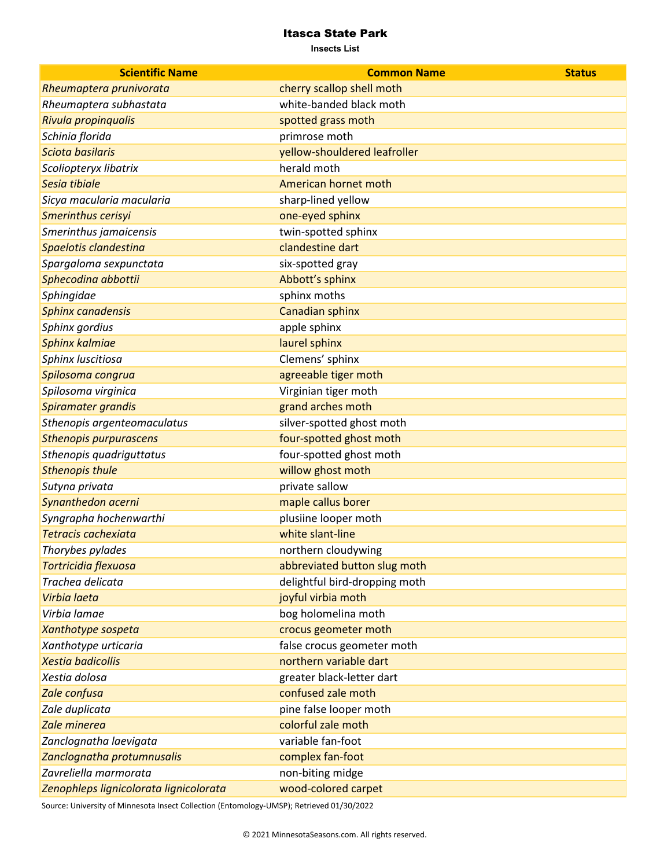**Insects List**

| <b>Scientific Name</b>                 | <b>Common Name</b>            | <b>Status</b> |
|----------------------------------------|-------------------------------|---------------|
| Rheumaptera prunivorata                | cherry scallop shell moth     |               |
| Rheumaptera subhastata                 | white-banded black moth       |               |
| Rivula propinqualis                    | spotted grass moth            |               |
| Schinia florida                        | primrose moth                 |               |
| Sciota basilaris                       | yellow-shouldered leafroller  |               |
| Scoliopteryx libatrix                  | herald moth                   |               |
| Sesia tibiale                          | American hornet moth          |               |
| Sicya macularia macularia              | sharp-lined yellow            |               |
| Smerinthus cerisyi                     | one-eyed sphinx               |               |
| Smerinthus jamaicensis                 | twin-spotted sphinx           |               |
| Spaelotis clandestina                  | clandestine dart              |               |
| Spargaloma sexpunctata                 | six-spotted gray              |               |
| Sphecodina abbottii                    | Abbott's sphinx               |               |
| Sphingidae                             | sphinx moths                  |               |
| Sphinx canadensis                      | Canadian sphinx               |               |
| Sphinx gordius                         | apple sphinx                  |               |
| Sphinx kalmiae                         | laurel sphinx                 |               |
| Sphinx luscitiosa                      | Clemens' sphinx               |               |
| Spilosoma congrua                      | agreeable tiger moth          |               |
| Spilosoma virginica                    | Virginian tiger moth          |               |
| Spiramater grandis                     | grand arches moth             |               |
| Sthenopis argenteomaculatus            | silver-spotted ghost moth     |               |
| <b>Sthenopis purpurascens</b>          | four-spotted ghost moth       |               |
| Sthenopis quadriguttatus               | four-spotted ghost moth       |               |
| <b>Sthenopis thule</b>                 | willow ghost moth             |               |
| Sutyna privata                         | private sallow                |               |
| Synanthedon acerni                     | maple callus borer            |               |
| Syngrapha hochenwarthi                 | plusiine looper moth          |               |
| Tetracis cachexiata                    | white slant-line              |               |
| Thorybes pylades                       | northern cloudywing           |               |
| Tortricidia flexuosa                   | abbreviated button slug moth  |               |
| Trachea delicata                       | delightful bird-dropping moth |               |
| Virbia laeta                           | joyful virbia moth            |               |
| Virbia lamae                           | bog holomelina moth           |               |
| Xanthotype sospeta                     | crocus geometer moth          |               |
| Xanthotype urticaria                   | false crocus geometer moth    |               |
| <b>Xestia badicollis</b>               | northern variable dart        |               |
| Xestia dolosa                          | greater black-letter dart     |               |
| Zale confusa                           | confused zale moth            |               |
| Zale duplicata                         | pine false looper moth        |               |
| Zale minerea                           | colorful zale moth            |               |
| Zanclognatha laevigata                 | variable fan-foot             |               |
| Zanclognatha protumnusalis             | complex fan-foot              |               |
| Zavreliella marmorata                  | non-biting midge              |               |
| Zenophleps lignicolorata lignicolorata | wood-colored carpet           |               |

Source: University of Minnesota Insect Collection (Entomology-UMSP); Retrieved 01/30/2022